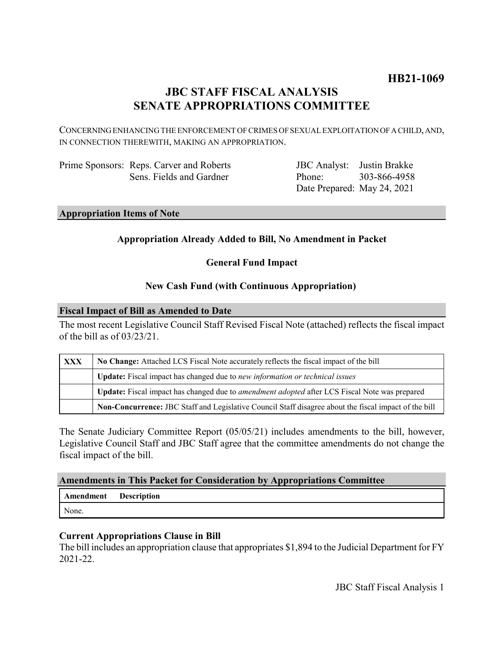# **HB21-1069**

# **JBC STAFF FISCAL ANALYSIS SENATE APPROPRIATIONS COMMITTEE**

CONCERNING ENHANCING THE ENFORCEMENT OF CRIMES OF SEXUAL EXPLOITATION OF A CHILD, AND, IN CONNECTION THEREWITH, MAKING AN APPROPRIATION.

| Prime Sponsors: Reps. Carver and Roberts |
|------------------------------------------|
| Sens. Fields and Gardner                 |

JBC Analyst: Justin Brakke Phone: Date Prepared: May 24, 2021 303-866-4958

## **Appropriation Items of Note**

# **Appropriation Already Added to Bill, No Amendment in Packet**

**General Fund Impact**

### **New Cash Fund (with Continuous Appropriation)**

### **Fiscal Impact of Bill as Amended to Date**

The most recent Legislative Council Staff Revised Fiscal Note (attached) reflects the fiscal impact of the bill as of 03/23/21.

| <b>XXX</b> | No Change: Attached LCS Fiscal Note accurately reflects the fiscal impact of the bill                       |
|------------|-------------------------------------------------------------------------------------------------------------|
|            | Update: Fiscal impact has changed due to new information or technical issues                                |
|            | <b>Update:</b> Fiscal impact has changed due to <i>amendment adopted</i> after LCS Fiscal Note was prepared |
|            | Non-Concurrence: JBC Staff and Legislative Council Staff disagree about the fiscal impact of the bill       |

The Senate Judiciary Committee Report (05/05/21) includes amendments to the bill, however, Legislative Council Staff and JBC Staff agree that the committee amendments do not change the fiscal impact of the bill.

### **Amendments in This Packet for Consideration by Appropriations Committee**

**Amendment Description** None.

### **Current Appropriations Clause in Bill**

The bill includes an appropriation clause that appropriates \$1,894 to the Judicial Department for FY 2021-22.

JBC Staff Fiscal Analysis 1